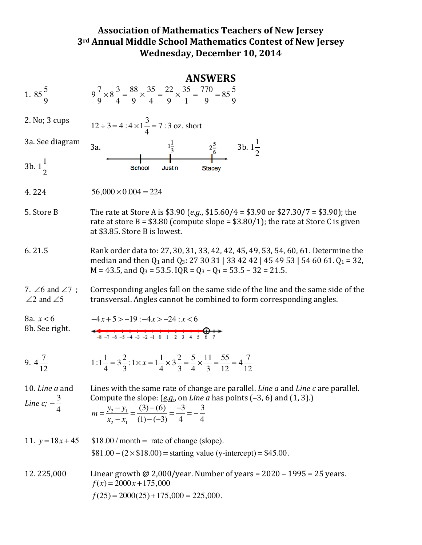## **Association of Mathematics Teachers of New Jersey 3rd Annual Middle School Mathematics Contest of New Jersey Wednesday, December 10, 2014**

|                                                            | <b>ANSWERS</b>                                                                                                                                                                                                                                                                      |
|------------------------------------------------------------|-------------------------------------------------------------------------------------------------------------------------------------------------------------------------------------------------------------------------------------------------------------------------------------|
| 1. $85\frac{5}{9}$                                         | $9\frac{7}{9}\times8\frac{3}{4}=\frac{88}{9}\times\frac{35}{4}=\frac{22}{9}\times\frac{35}{1}=\frac{770}{9}=85\frac{5}{9}$                                                                                                                                                          |
| 2. No; 3 cups                                              | $12 \div 3 = 4:4 \times 1 \frac{3}{4} = 7:3$ oz. short                                                                                                                                                                                                                              |
| 3a. See diagram                                            | $\frac{1\frac{1}{3}}{2\frac{5}{6}}$ 3b. $1\frac{1}{2}$<br>3a.                                                                                                                                                                                                                       |
| 3b. $1\frac{1}{2}$                                         | School<br><b>Justin</b><br><b>Stacey</b>                                                                                                                                                                                                                                            |
| 4.224                                                      | $56,000 \times 0.004 = 224$                                                                                                                                                                                                                                                         |
| 5. Store B                                                 | The rate at Store A is \$3.90 ( <i>e.g.</i> , \$15.60/4 = \$3.90 or \$27.30/7 = \$3.90); the<br>rate at store B = $$3.80$ (compute slope = $$3.80/1$ ); the rate at Store C is given<br>at \$3.85. Store B is lowest.                                                               |
| 6.21.5                                                     | Rank order data to: 27, 30, 31, 33, 42, 42, 45, 49, 53, 54, 60, 61. Determine the<br>median and then $Q_1$ and $Q_3$ : 27 30 31   33 42 42   45 49 53   54 60 61. $Q_1$ = 32,<br>$M = 43.5$ , and $Q_3 = 53.5$ . IQR = $Q_3 - Q_1 = 53.5 - 32 = 21.5$ .                             |
| 7. $\angle$ 6 and $\angle$ 7;<br>$\angle 2$ and $\angle 5$ | Corresponding angles fall on the same side of the line and the same side of the<br>transversal. Angles cannot be combined to form corresponding angles.                                                                                                                             |
| 8a. $x < 6$<br>8b. See right.                              | $-4x+5 > -19$ : $-4x > -24$ : $x < 6$<br>$-8$ -7 -6 -5 -4 -3 -2 -1 0 1 2 3 4 5 6 7                                                                                                                                                                                                  |
| 9. $4\frac{7}{12}$                                         | 1:1 $\frac{1}{4} = 3\frac{2}{3}$ :1 $\times x = 1\frac{1}{4} \times 3\frac{2}{3} = \frac{5}{4} \times \frac{11}{3} = \frac{55}{12} = 4\frac{7}{12}$                                                                                                                                 |
| 10. Line a and<br>Line c; $-\frac{3}{4}$                   | Lines with the same rate of change are parallel. Line a and Line c are parallel.<br>Compute the slope: $(\underline{e.g.})$ on <i>Line a</i> has points $(-3, 6)$ and $(1, 3)$ .)<br>$m = \frac{y_2 - y_1}{x_2 - x_1} = \frac{(3) - (6)}{(1) - (-3)} = \frac{-3}{4} = -\frac{3}{4}$ |
| 11. $y = 18x + 45$                                         | $$18.00 / month = rate of change (slope).$                                                                                                                                                                                                                                          |
|                                                            | $$81.00 - (2 \times $18.00) = starting value (y-intercept) = $45.00.$                                                                                                                                                                                                               |
| 12.225,000                                                 | Linear growth @ 2,000/year. Number of years = $2020 - 1995 = 25$ years.<br>$f(x) = 2000x + 175,000$                                                                                                                                                                                 |
|                                                            | $f(25) = 2000(25) + 175,000 = 225,000.$                                                                                                                                                                                                                                             |